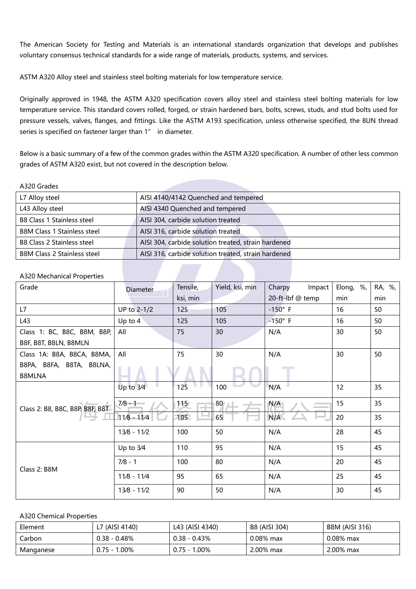The American Society for Testing and Materials is an international standards organization that develops and publishes voluntary consensus technical standards for a wide range of materials, products, systems, and services.

ASTM A320 Alloy steel and stainless steel bolting materials for low temperature service.

Originally approved in 1948, the ASTM A320 specification covers alloy steel and stainless steel bolting materials for low temperature service. This standard covers rolled, forged, or strain hardened bars, bolts, screws, studs, and stud bolts used for pressure vessels, valves, flanges, and fittings. Like the ASTM A193 specification, unless otherwise specified, the 8UN thread series is specified on fastener larger than 1" in diameter.

Below is a basic summary of a few of the common grades within the ASTM A320 specification. A number of other less common grades of ASTM A320 exist, but not covered in the description below.

## A320 Grades

| L7 Alloy steel                     | AISI 4140/4142 Quenched and tempered                |
|------------------------------------|-----------------------------------------------------|
| L43 Alloy steel                    | AISI 4340 Quenched and tempered                     |
| <b>B8 Class 1 Stainless steel</b>  | AISI 304, carbide solution treated                  |
| <b>B8M Class 1 Stainless steel</b> | AISI 316, carbide solution treated                  |
| <b>B8 Class 2 Stainless steel</b>  | AISI 304, carbide solution treated, strain hardened |
| <b>B8M Class 2 Stainless steel</b> | AISI 316, carbide solution treated, strain hardened |

## A320 Mechanical Properties

| Grade                           | <b>Diameter</b> | Tensile, | Yield, ksi, min | Charpy<br>Impact | Elong, %, | RA, %, |
|---------------------------------|-----------------|----------|-----------------|------------------|-----------|--------|
|                                 |                 | ksi, min |                 | 20-ft-lbf @ temp | min       | min    |
| L7                              | UP to 2-1/2     | 125      | 105             | $-150^\circ$ F   | 16        | 50     |
| L43                             | Up to 4         | 125      | 105             | $-150^\circ$ F   | 16        | 50     |
| Class 1: BC, B8C, B8M, B8P,     | All             | 75       | 30              | N/A              | 30        | 50     |
| B8F, B8T, B8LN, B8MLN           |                 |          |                 |                  |           |        |
| Class 1A: B8A, B8CA, B8MA,      | All             | 75       | 30              | N/A              | 30        | 50     |
| B8PA, B8FA, B8TA, B8LNA,        |                 |          |                 |                  |           |        |
| <b>B8MLNA</b>                   |                 |          |                 |                  |           |        |
|                                 | Up to $3/4$     | 125      | 100             | N/A              | 12        | 35     |
| Class 2: B8, B8C, B8P, B8F, B8T | $7/8 - 1$       | 115      | 80              | N/A              | 15        | 35     |
|                                 | $11/8 - 11/4$   | 105      | 65              | N/A              | 20        | 35     |
|                                 | $13/8 - 11/2$   | 100      | 50              | N/A              | 28        | 45     |
|                                 | Up to 3/4       | 110      | 95              | N/A              | 15        | 45     |
| Class 2: B8M                    | $7/8 - 1$       | 100      | 80              | N/A              | 20        | 45     |
|                                 | $11/8 - 11/4$   | 95       | 65              | N/A              | 25        | 45     |
|                                 | $13/8 - 11/2$   | 90       | 50              | N/A              | 30        | 45     |

## A320 Chemical Properties

| Element   | L7 (AISI 4140)  | L43 (AISI 4340)       | B8 (AISI 304) | <b>B8M (AISI 316)</b> |
|-----------|-----------------|-----------------------|---------------|-----------------------|
| Carbon    | $0.38 - 0.48%$  | $0.38 - 0.43\%$       | $0.08\%$ max  | $0.08\%$ max          |
| Manganese | $0.75 - 1.00\%$ | $.00\%$<br>$0.75 - 1$ | 2.00% max     | 2.00% max             |